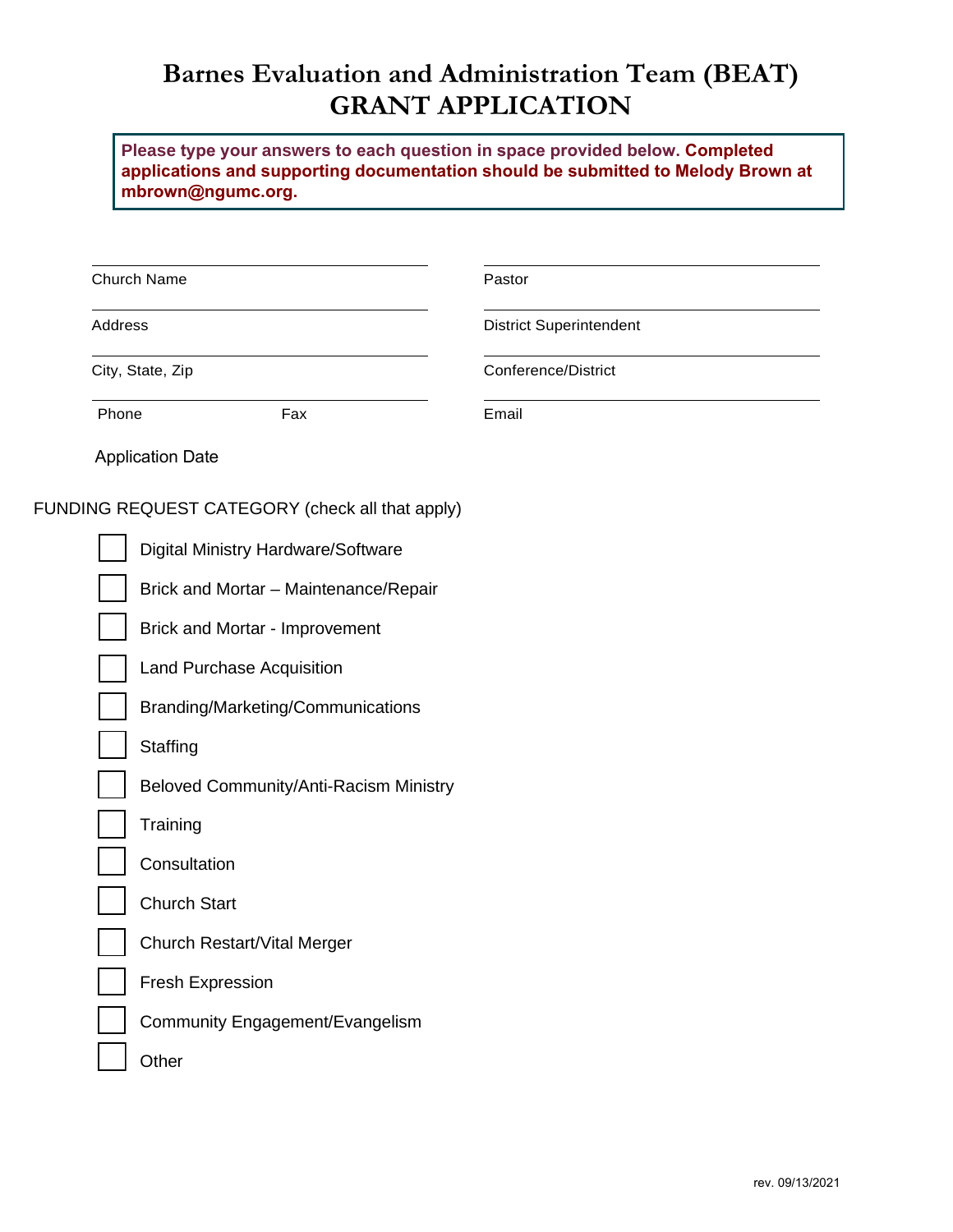# **Barnes Evaluation and Administration Team (BEAT) GRANT APPLICATION**

**Please type your answers to each question in space provided below. Completed applications and supporting documentation should be submitted to Melody Brown at mbrown@ngumc.org.**

| Church Name                                     | Pastor                         |  |  |  |  |
|-------------------------------------------------|--------------------------------|--|--|--|--|
| Address                                         | <b>District Superintendent</b> |  |  |  |  |
| City, State, Zip                                | Conference/District            |  |  |  |  |
| Phone<br>Fax                                    | Email                          |  |  |  |  |
| <b>Application Date</b>                         |                                |  |  |  |  |
| FUNDING REQUEST CATEGORY (check all that apply) |                                |  |  |  |  |
| Digital Ministry Hardware/Software              |                                |  |  |  |  |
| Brick and Mortar - Maintenance/Repair           |                                |  |  |  |  |
| Brick and Mortar - Improvement                  |                                |  |  |  |  |
| <b>Land Purchase Acquisition</b>                |                                |  |  |  |  |
| Branding/Marketing/Communications               |                                |  |  |  |  |
| Staffing                                        |                                |  |  |  |  |
| Beloved Community/Anti-Racism Ministry          |                                |  |  |  |  |
| Training                                        |                                |  |  |  |  |
| Consultation                                    |                                |  |  |  |  |
| <b>Church Start</b>                             |                                |  |  |  |  |
| Church Restart/Vital Merger                     |                                |  |  |  |  |
| Fresh Expression                                |                                |  |  |  |  |
| Community Engagement/Evangelism                 |                                |  |  |  |  |
| Other                                           |                                |  |  |  |  |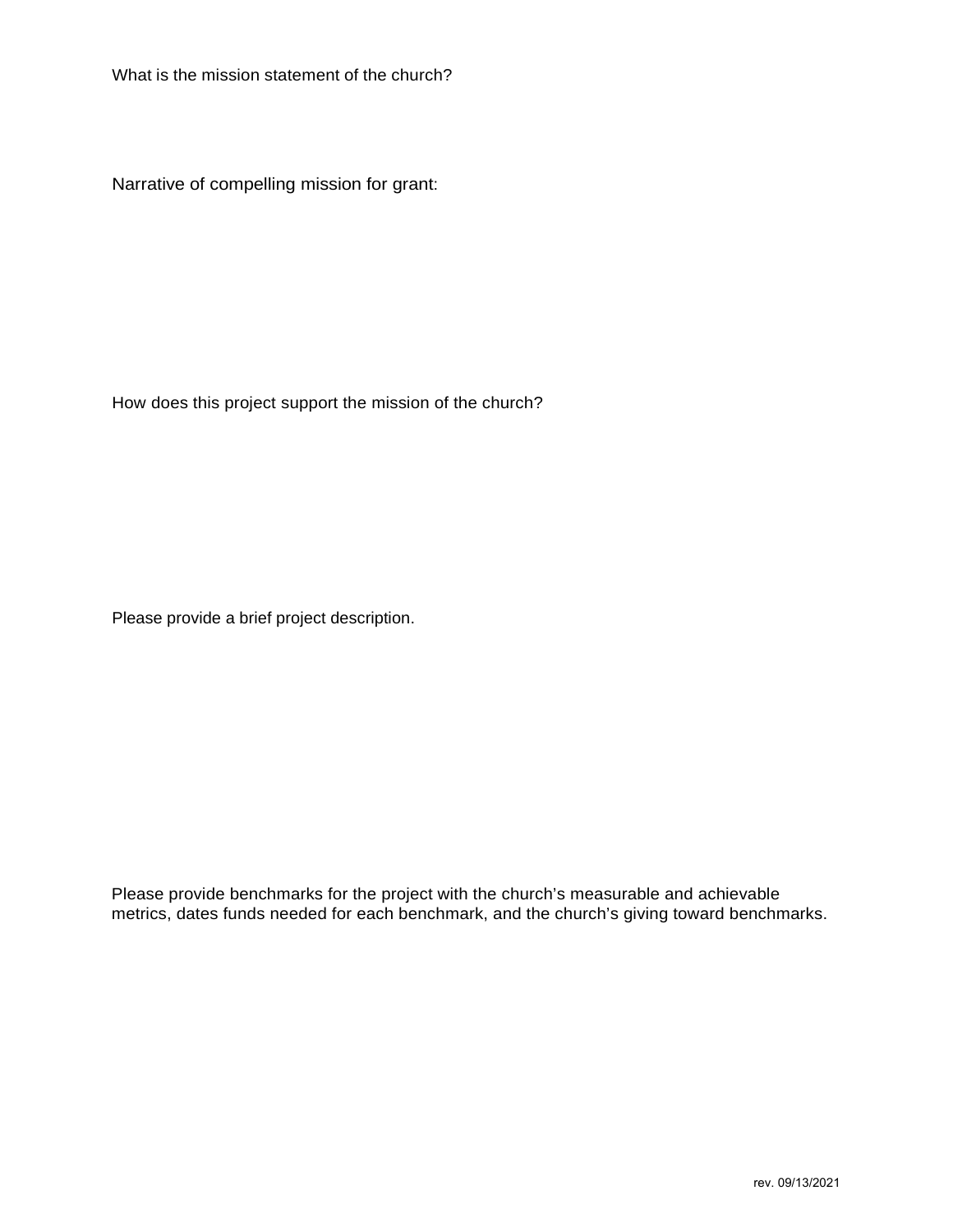What is the mission statement of the church?

Narrative of compelling mission for grant:

How does this project support the mission of the church?

Please provide a brief project description.

Please provide benchmarks for the project with the church's measurable and achievable metrics, dates funds needed for each benchmark, and the church's giving toward benchmarks.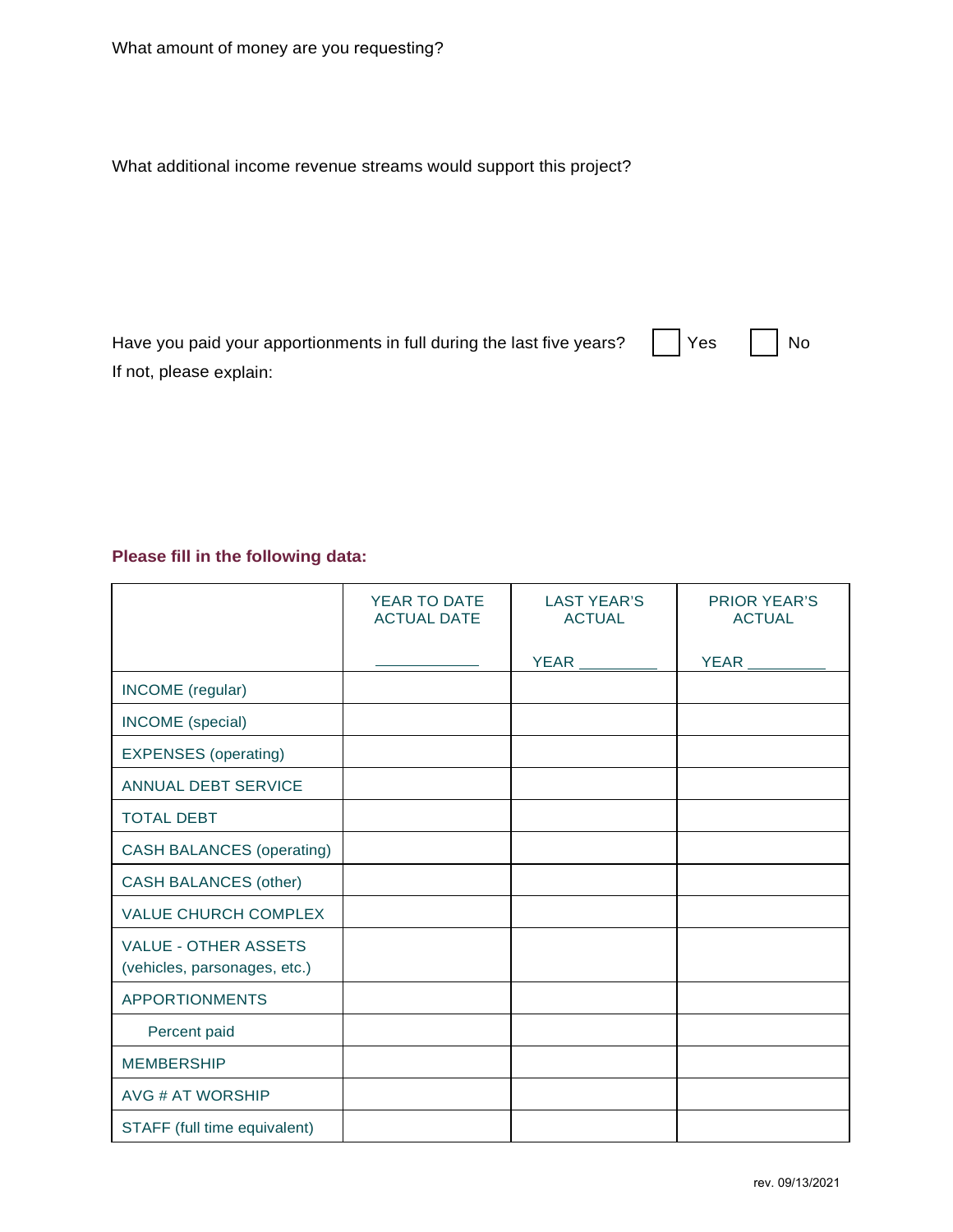What additional income revenue streams would support this project?

| Have you paid your apportionments in full during the last five years? $\Box$ Yes $\Box$ No |  |
|--------------------------------------------------------------------------------------------|--|
| If not, please explain:                                                                    |  |

## **Please fill in the following data:**

|                                                             | YEAR TO DATE<br><b>ACTUAL DATE</b> | <b>LAST YEAR'S</b><br><b>ACTUAL</b> | <b>PRIOR YEAR'S</b><br><b>ACTUAL</b> |
|-------------------------------------------------------------|------------------------------------|-------------------------------------|--------------------------------------|
|                                                             |                                    | <b>YEAR</b>                         | <b>YEAR</b>                          |
| INCOME (regular)                                            |                                    |                                     |                                      |
| INCOME (special)                                            |                                    |                                     |                                      |
| <b>EXPENSES</b> (operating)                                 |                                    |                                     |                                      |
| <b>ANNUAL DEBT SERVICE</b>                                  |                                    |                                     |                                      |
| <b>TOTAL DEBT</b>                                           |                                    |                                     |                                      |
| <b>CASH BALANCES (operating)</b>                            |                                    |                                     |                                      |
| <b>CASH BALANCES (other)</b>                                |                                    |                                     |                                      |
| <b>VALUE CHURCH COMPLEX</b>                                 |                                    |                                     |                                      |
| <b>VALUE - OTHER ASSETS</b><br>(vehicles, parsonages, etc.) |                                    |                                     |                                      |
| <b>APPORTIONMENTS</b>                                       |                                    |                                     |                                      |
| Percent paid                                                |                                    |                                     |                                      |
| <b>MEMBERSHIP</b>                                           |                                    |                                     |                                      |
| <b>AVG # AT WORSHIP</b>                                     |                                    |                                     |                                      |
| STAFF (full time equivalent)                                |                                    |                                     |                                      |